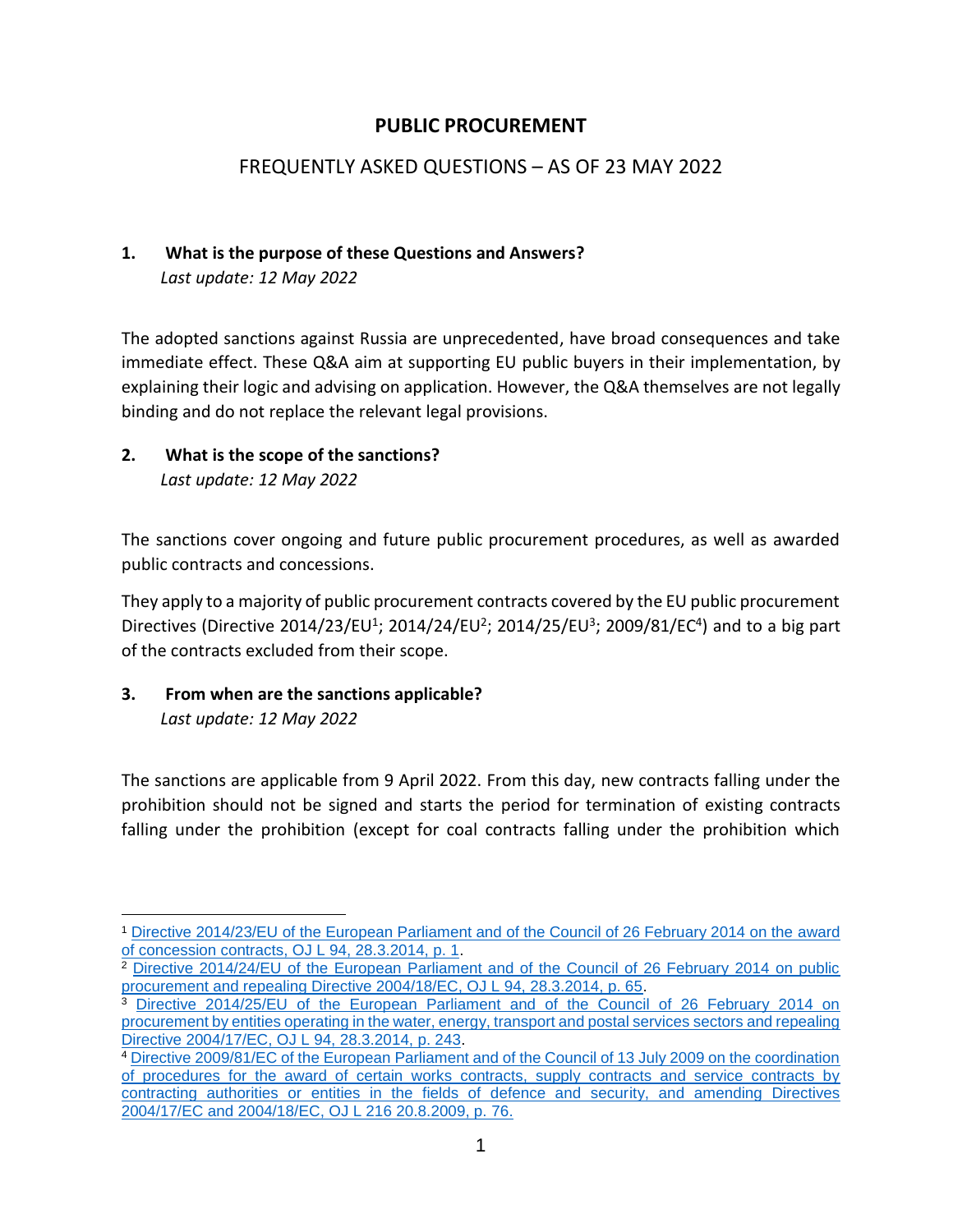### **PUBLIC PROCUREMENT**

## FREQUENTLY ASKED QUESTIONS – AS OF 23 MAY 2022

#### **1. What is the purpose of these Questions and Answers?** *Last update: 12 May 2022*

The adopted sanctions against Russia are unprecedented, have broad consequences and take immediate effect. These Q&A aim at supporting EU public buyers in their implementation, by explaining their logic and advising on application. However, the Q&A themselves are not legally binding and do not replace the relevant legal provisions.

### **2. What is the scope of the sanctions?** *Last update: 12 May 2022*

The sanctions cover ongoing and future public procurement procedures, as well as awarded public contracts and concessions.

They apply to a majority of public procurement contracts covered by the EU public procurement Directives (Directive 2014/23/EU<sup>1</sup>; 2014/24/EU<sup>2</sup>; 2014/25/EU<sup>3</sup>; 2009/81/EC<sup>4</sup>) and to a big part of the contracts excluded from their scope.

#### **3. From when are the sanctions applicable?** *Last update: 12 May 2022*

 $\overline{a}$ 

The sanctions are applicable from 9 April 2022. From this day, new contracts falling under the prohibition should not be signed and starts the period for termination of existing contracts falling under the prohibition (except for coal contracts falling under the prohibition which

<sup>1</sup> [Directive 2014/23/EU of the European Parliament and of the Council of 26 February 2014 on the award](https://eur-lex.europa.eu/legal-content/EN/TXT/?uri=CELEX%3A02014L0023-20220101)  [of concession contracts, OJ L 94, 28.3.2014, p. 1.](https://eur-lex.europa.eu/legal-content/EN/TXT/?uri=CELEX%3A02014L0023-20220101)

<sup>2</sup> [Directive 2014/24/EU of the European Parliament and of the Council of 26 February 2014 on public](https://eur-lex.europa.eu/legal-content/EN/TXT/?uri=celex%3A32014L0024)  [procurement and repealing Directive 2004/18/EC, OJ L 94, 28.3.2014, p. 65.](https://eur-lex.europa.eu/legal-content/EN/TXT/?uri=celex%3A32014L0024)

<sup>3</sup> [Directive 2014/25/EU of the European Parliament and of the Council of 26 February 2014 on](https://eur-lex.europa.eu/legal-content/EN/TXT/?uri=celex%3A32014L0025)  [procurement by entities operating in the water, energy, transport and postal services sectors and repealing](https://eur-lex.europa.eu/legal-content/EN/TXT/?uri=celex%3A32014L0025)  [Directive 2004/17/EC, OJ L 94, 28.3.2014, p. 243.](https://eur-lex.europa.eu/legal-content/EN/TXT/?uri=celex%3A32014L0025)

<sup>4</sup> [Directive 2009/81/EC of the European Parliament and of the Council of 13 July 2009 on the coordination](https://eur-lex.europa.eu/legal-content/EN/TXT/?uri=CELEX%3A02009L0081-20220101)  [of procedures for the award of certain works contracts, supply contracts and service contracts by](https://eur-lex.europa.eu/legal-content/EN/TXT/?uri=CELEX%3A02009L0081-20220101)  [contracting authorities or entities in the fields of defence and security, and amending Directives](https://eur-lex.europa.eu/legal-content/EN/TXT/?uri=CELEX%3A02009L0081-20220101)  [2004/17/EC and 2004/18/EC, OJ L 216 20.8.2009, p. 76.](https://eur-lex.europa.eu/legal-content/EN/TXT/?uri=CELEX%3A02009L0081-20220101)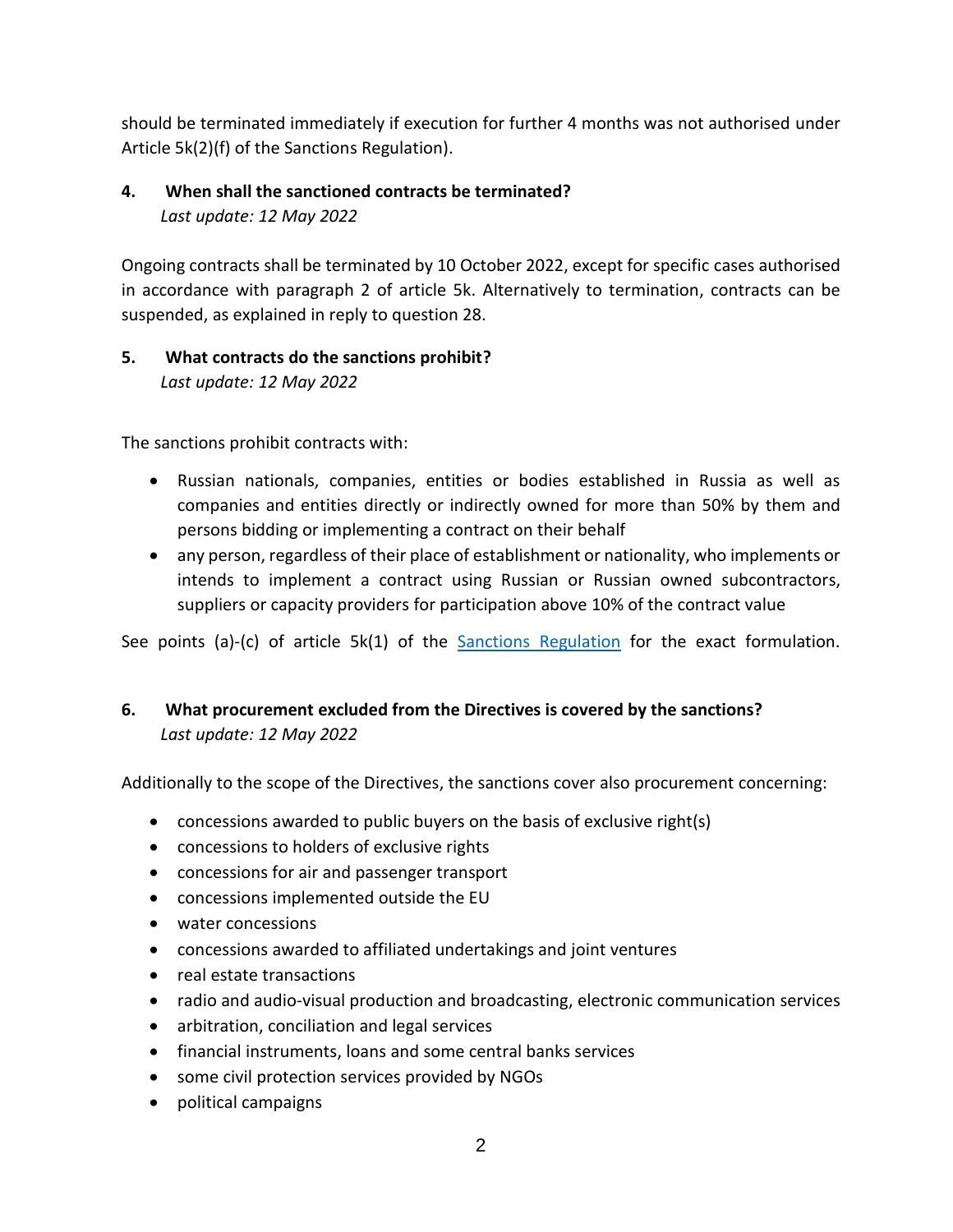should be terminated immediately if execution for further 4 months was not authorised under Article 5k(2)(f) of the Sanctions Regulation).

## **4. When shall the sanctioned contracts be terminated?**  *Last update: 12 May 2022*

Ongoing contracts shall be terminated by 10 October 2022, except for specific cases authorised in accordance with paragraph 2 of article 5k. Alternatively to termination, contracts can be suspended, as explained in reply to question 28.

#### **5. What contracts do the sanctions prohibit?** *Last update: 12 May 2022*

The sanctions prohibit contracts with:

- Russian nationals, companies, entities or bodies established in Russia as well as companies and entities directly or indirectly owned for more than 50% by them and persons bidding or implementing a contract on their behalf
- any person, regardless of their place of establishment or nationality, who implements or intends to implement a contract using Russian or Russian owned subcontractors, suppliers or capacity providers for participation above 10% of the contract value

See points (a)-(c) of article 5k(1) of the **[Sanctions Regulation](https://eur-lex.europa.eu/legal-content/EN/TXT/?uri=CELEX%3A02014R0833-20220413)** for the exact formulation.

## **6. What procurement excluded from the Directives is covered by the sanctions?** *Last update: 12 May 2022*

Additionally to the scope of the Directives, the sanctions cover also procurement concerning:

- concessions awarded to public buyers on the basis of exclusive right(s)
- concessions to holders of exclusive rights
- concessions for air and passenger transport
- concessions implemented outside the EU
- water concessions
- concessions awarded to affiliated undertakings and joint ventures
- real estate transactions
- radio and audio-visual production and broadcasting, electronic communication services
- arbitration, conciliation and legal services
- financial instruments, loans and some central banks services
- some civil protection services provided by NGOs
- political campaigns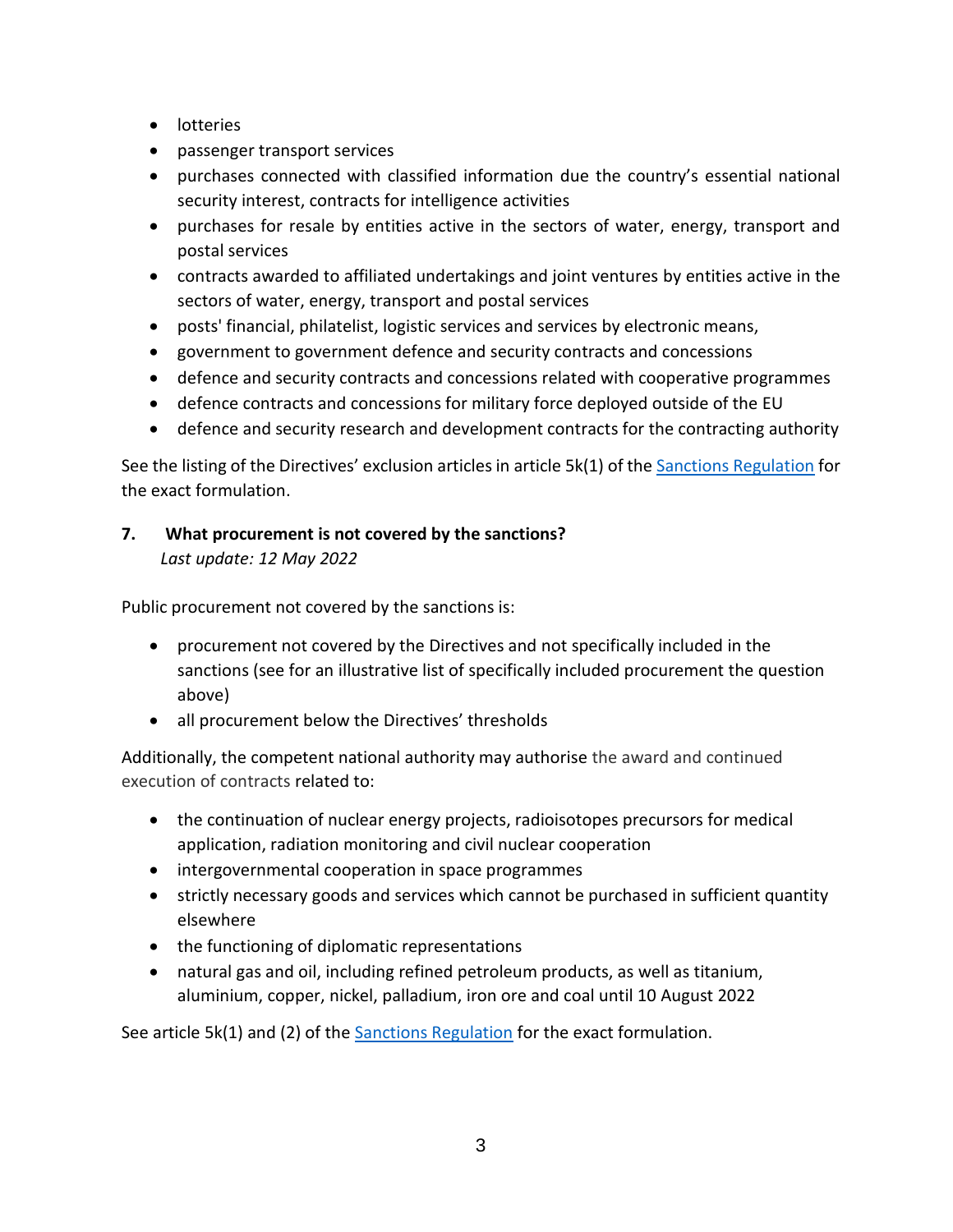- lotteries
- passenger transport services
- purchases connected with classified information due the country's essential national security interest, contracts for intelligence activities
- purchases for resale by entities active in the sectors of water, energy, transport and postal services
- contracts awarded to affiliated undertakings and joint ventures by entities active in the sectors of water, energy, transport and postal services
- posts' financial, philatelist, logistic services and services by electronic means,
- government to government defence and security contracts and concessions
- defence and security contracts and concessions related with cooperative programmes
- defence contracts and concessions for military force deployed outside of the EU
- defence and security research and development contracts for the contracting authority

See the listing of the Directives' exclusion articles in article 5k(1) of the [Sanctions Regulation](https://eur-lex.europa.eu/legal-content/EN/TXT/?uri=CELEX%3A02014R0833-20220413) for the exact formulation.

## **7. What procurement is not covered by the sanctions?** *Last update: 12 May 2022*

Public procurement not covered by the sanctions is:

- procurement not covered by the Directives and not specifically included in the sanctions (see for an illustrative list of specifically included procurement the question above)
- all procurement below the Directives' thresholds

Additionally, the competent national authority may authorise the award and continued execution of contracts related to:

- the continuation of nuclear energy projects, radioisotopes precursors for medical application, radiation monitoring and civil nuclear cooperation
- intergovernmental cooperation in space programmes
- strictly necessary goods and services which cannot be purchased in sufficient quantity elsewhere
- the functioning of diplomatic representations
- natural gas and oil, including refined petroleum products, as well as titanium, aluminium, copper, nickel, palladium, iron ore and coal until 10 August 2022

See article 5 $k(1)$  and (2) of the [Sanctions Regulation](https://eur-lex.europa.eu/legal-content/EN/TXT/?uri=CELEX%3A02014R0833-20220413) for the exact formulation.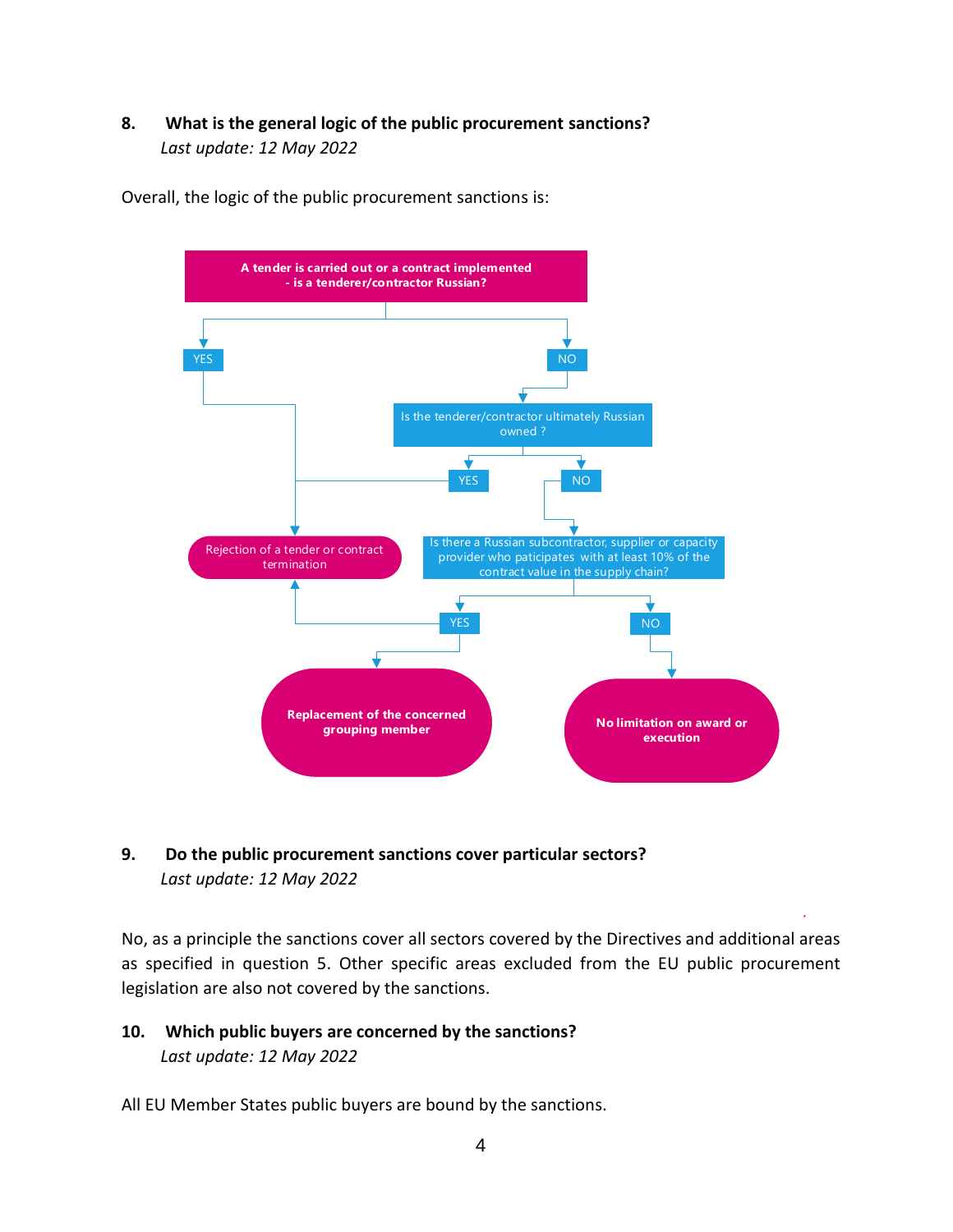### **8. What is the general logic of the public procurement sanctions?** *Last update: 12 May 2022*

Overall, the logic of the public procurement sanctions is:



### **9. Do the public procurement sanctions cover particular sectors?** *Last update: 12 May 2022*

No, as a principle the sanctions cover all sectors covered by the Directives and additional areas as specified in question 5. Other specific areas excluded from the EU public procurement legislation are also not covered by the sanctions.

### **10. Which public buyers are concerned by the sanctions?** *Last update: 12 May 2022*

All EU Member States public buyers are bound by the sanctions.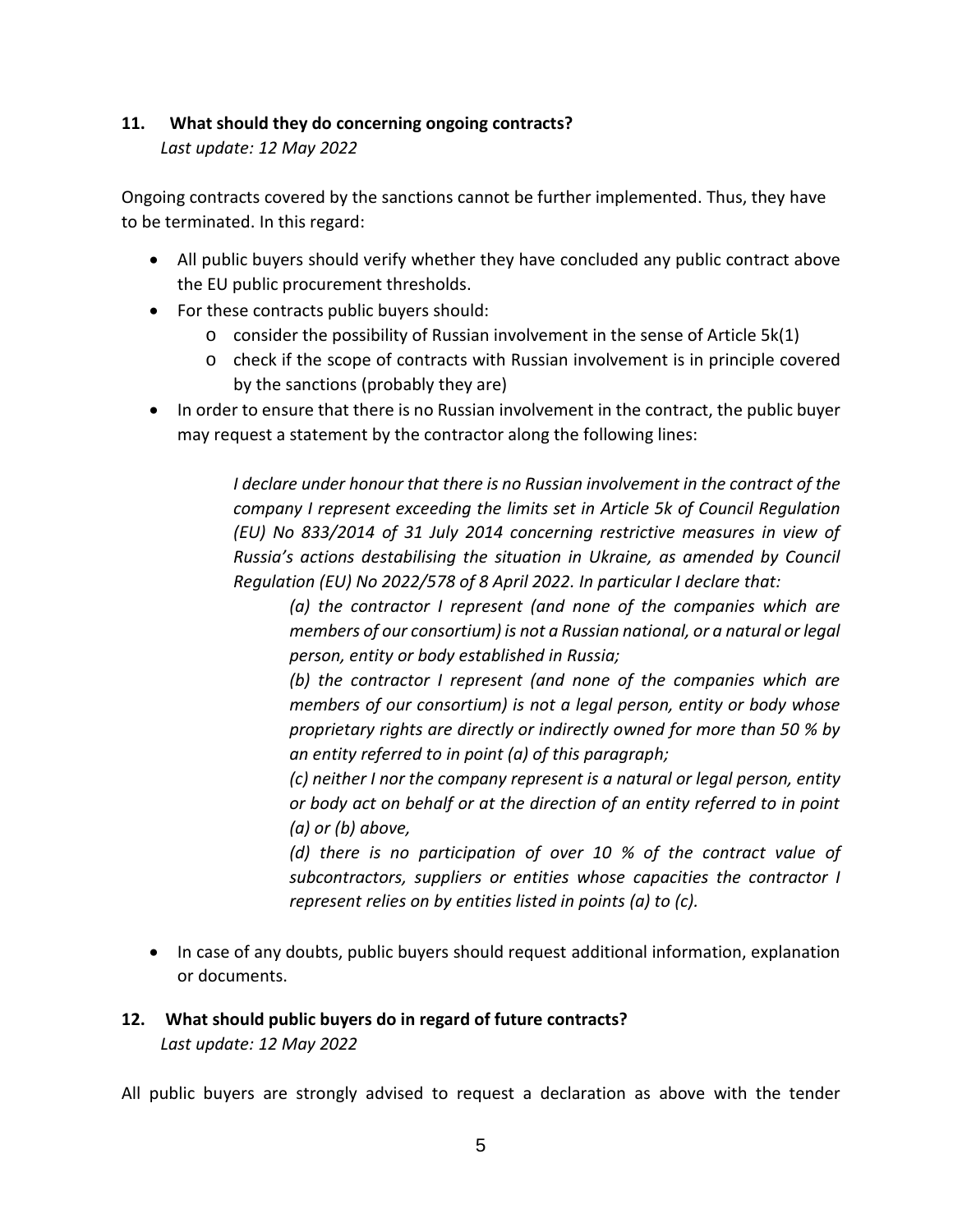#### **11. What should they do concerning ongoing contracts?**

*Last update: 12 May 2022*

Ongoing contracts covered by the sanctions cannot be further implemented. Thus, they have to be terminated. In this regard:

- All public buyers should verify whether they have concluded any public contract above the EU public procurement thresholds.
- For these contracts public buyers should:
	- $\circ$  consider the possibility of Russian involvement in the sense of Article 5k(1)
	- o check if the scope of contracts with Russian involvement is in principle covered by the sanctions (probably they are)
- In order to ensure that there is no Russian involvement in the contract, the public buyer may request a statement by the contractor along the following lines:

*I declare under honour that there is no Russian involvement in the contract of the company I represent exceeding the limits set in Article 5k of Council Regulation (EU) No 833/2014 of 31 July 2014 concerning restrictive measures in view of Russia's actions destabilising the situation in Ukraine, as amended by Council Regulation (EU) No 2022/578 of 8 April 2022. In particular I declare that:*

*(a) the contractor I represent (and none of the companies which are members of our consortium) is not a Russian national, or a natural or legal person, entity or body established in Russia;*

*(b) the contractor I represent (and none of the companies which are members of our consortium) is not a legal person, entity or body whose proprietary rights are directly or indirectly owned for more than 50 % by an entity referred to in point (a) of this paragraph;*

*(c) neither I nor the company represent is a natural or legal person, entity or body act on behalf or at the direction of an entity referred to in point (a) or (b) above,*

*(d) there is no participation of over 10 % of the contract value of subcontractors, suppliers or entities whose capacities the contractor I represent relies on by entities listed in points (a) to (c).*

• In case of any doubts, public buyers should request additional information, explanation or documents.

## **12. What should public buyers do in regard of future contracts?** *Last update: 12 May 2022*

All public buyers are strongly advised to request a declaration as above with the tender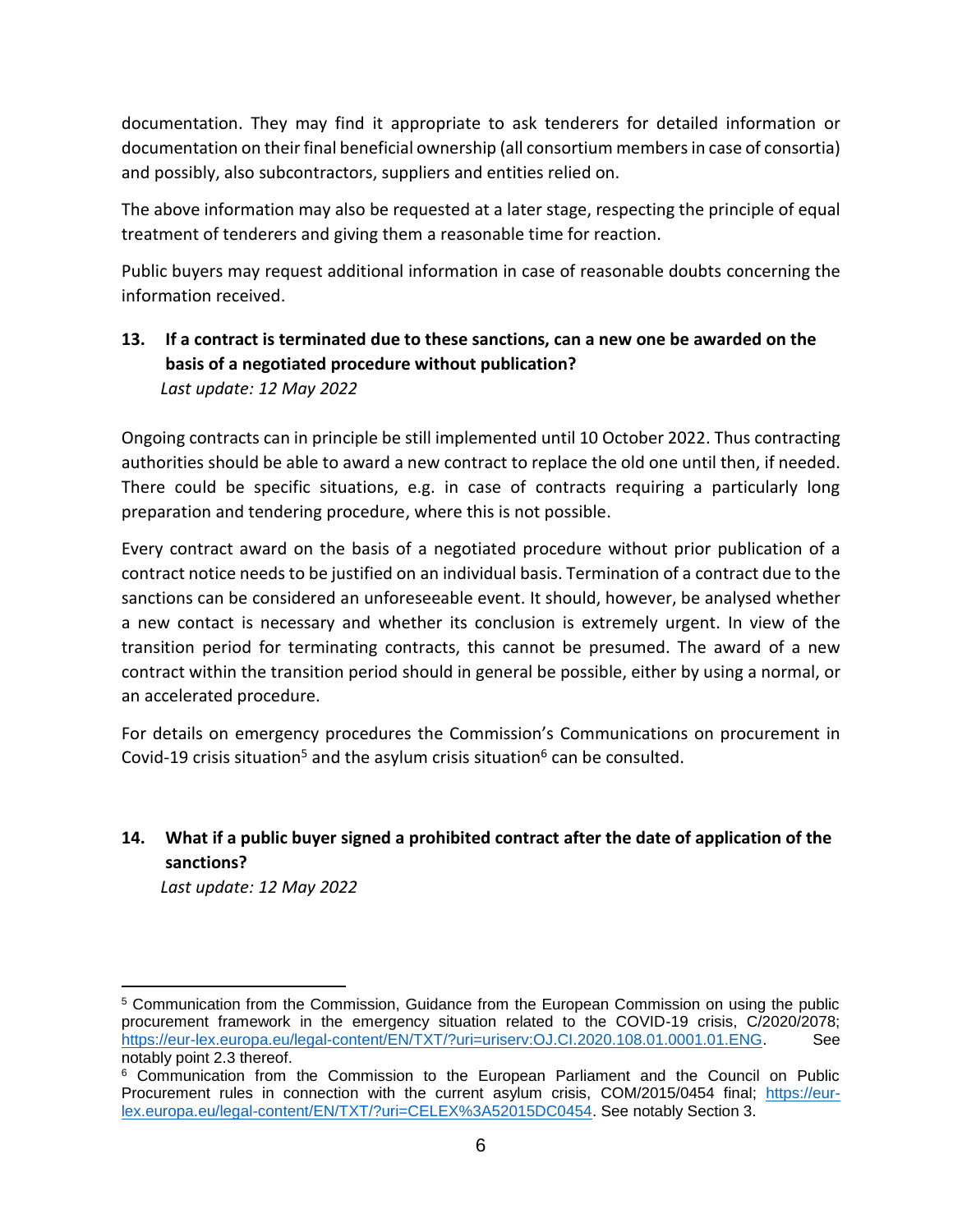documentation. They may find it appropriate to ask tenderers for detailed information or documentation on their final beneficial ownership (all consortium members in case of consortia) and possibly, also subcontractors, suppliers and entities relied on.

The above information may also be requested at a later stage, respecting the principle of equal treatment of tenderers and giving them a reasonable time for reaction.

Public buyers may request additional information in case of reasonable doubts concerning the information received.

### **13. If a contract is terminated due to these sanctions, can a new one be awarded on the basis of a negotiated procedure without publication?**  *Last update: 12 May 2022*

Ongoing contracts can in principle be still implemented until 10 October 2022. Thus contracting authorities should be able to award a new contract to replace the old one until then, if needed. There could be specific situations, e.g. in case of contracts requiring a particularly long preparation and tendering procedure, where this is not possible.

Every contract award on the basis of a negotiated procedure without prior publication of a contract notice needs to be justified on an individual basis. Termination of a contract due to the sanctions can be considered an unforeseeable event. It should, however, be analysed whether a new contact is necessary and whether its conclusion is extremely urgent. In view of the transition period for terminating contracts, this cannot be presumed. The award of a new contract within the transition period should in general be possible, either by using a normal, or an accelerated procedure.

For details on emergency procedures the Commission's Communications on procurement in Covid-19 crisis situation<sup>5</sup> and the asylum crisis situation<sup>6</sup> can be consulted.

## **14. What if a public buyer signed a prohibited contract after the date of application of the sanctions?**

*Last update: 12 May 2022*

 $\overline{a}$ 

<sup>5</sup> Communication from the Commission, Guidance from the European Commission on using the public procurement framework in the emergency situation related to the COVID-19 crisis, C/2020/2078; [https://eur-lex.europa.eu/legal-content/EN/TXT/?uri=uriserv:OJ.CI.2020.108.01.0001.01.ENG.](https://eur-lex.europa.eu/legal-content/EN/TXT/?uri=uriserv:OJ.CI.2020.108.01.0001.01.ENG) See notably point 2.3 thereof.

<sup>6</sup> Communication from the Commission to the European Parliament and the Council on Public Procurement rules in connection with the current asylum crisis, COM/2015/0454 final; [https://eur](https://eur-lex.europa.eu/legal-content/EN/TXT/?uri=CELEX%3A52015DC0454)[lex.europa.eu/legal-content/EN/TXT/?uri=CELEX%3A52015DC0454.](https://eur-lex.europa.eu/legal-content/EN/TXT/?uri=CELEX%3A52015DC0454) See notably Section 3.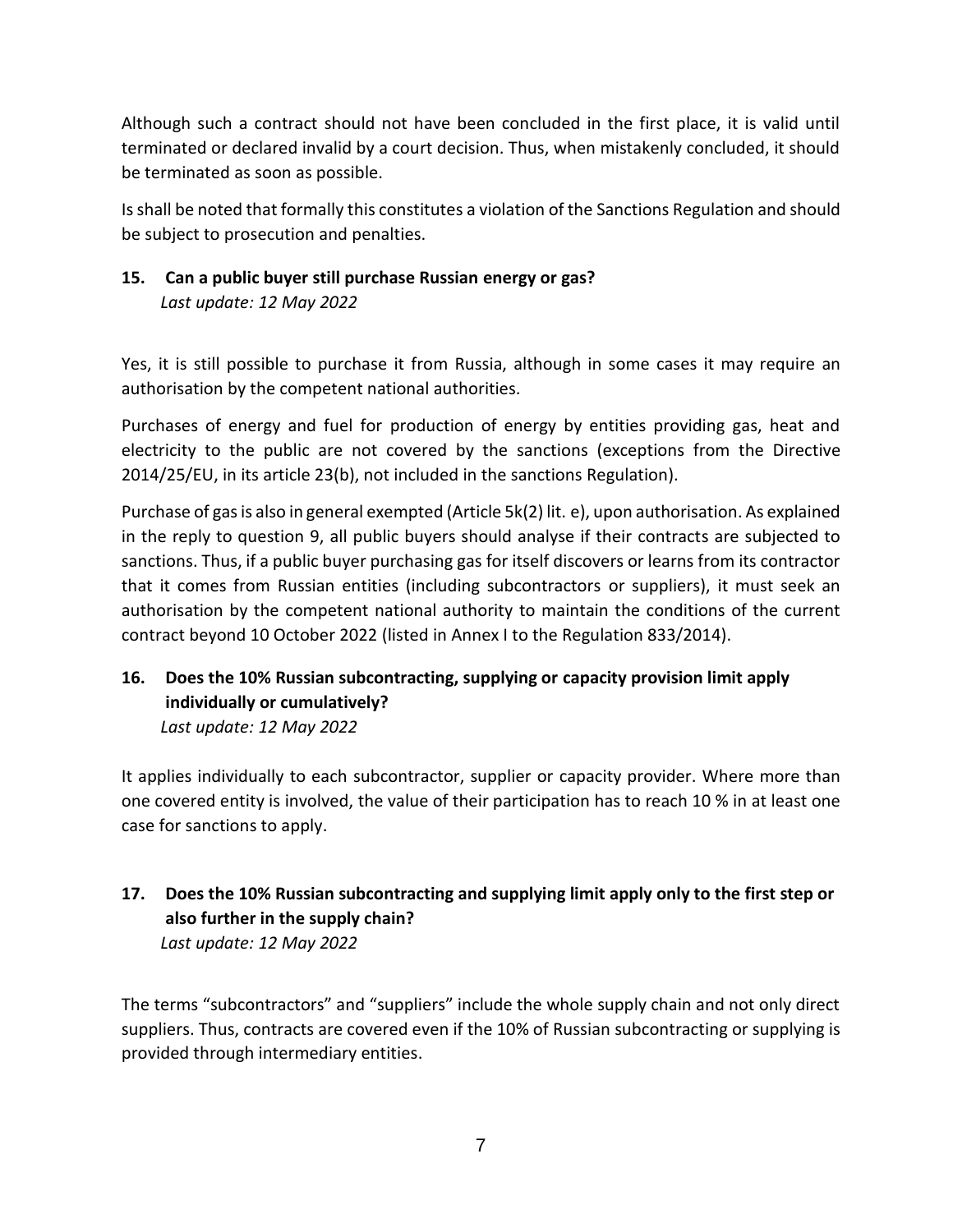Although such a contract should not have been concluded in the first place, it is valid until terminated or declared invalid by a court decision. Thus, when mistakenly concluded, it should be terminated as soon as possible.

Is shall be noted that formally this constitutes a violation of the Sanctions Regulation and should be subject to prosecution and penalties.

## **15. Can a public buyer still purchase Russian energy or gas?** *Last update: 12 May 2022*

Yes, it is still possible to purchase it from Russia, although in some cases it may require an authorisation by the competent national authorities.

Purchases of energy and fuel for production of energy by entities providing gas, heat and electricity to the public are not covered by the sanctions (exceptions from the Directive 2014/25/EU, in its article 23(b), not included in the sanctions Regulation).

Purchase of gas is also in general exempted (Article 5k(2) lit. e), upon authorisation. As explained in the reply to question 9, all public buyers should analyse if their contracts are subjected to sanctions. Thus, if a public buyer purchasing gas for itself discovers or learns from its contractor that it comes from Russian entities (including subcontractors or suppliers), it must seek an authorisation by the competent national authority to maintain the conditions of the current contract beyond 10 October 2022 (listed in Annex I to the Regulation 833/2014).

## **16. Does the 10% Russian subcontracting, supplying or capacity provision limit apply individually or cumulatively?**

*Last update: 12 May 2022*

It applies individually to each subcontractor, supplier or capacity provider. Where more than one covered entity is involved, the value of their participation has to reach 10 % in at least one case for sanctions to apply.

### **17. Does the 10% Russian subcontracting and supplying limit apply only to the first step or also further in the supply chain?** *Last update: 12 May 2022*

The terms "subcontractors" and "suppliers" include the whole supply chain and not only direct suppliers. Thus, contracts are covered even if the 10% of Russian subcontracting or supplying is provided through intermediary entities.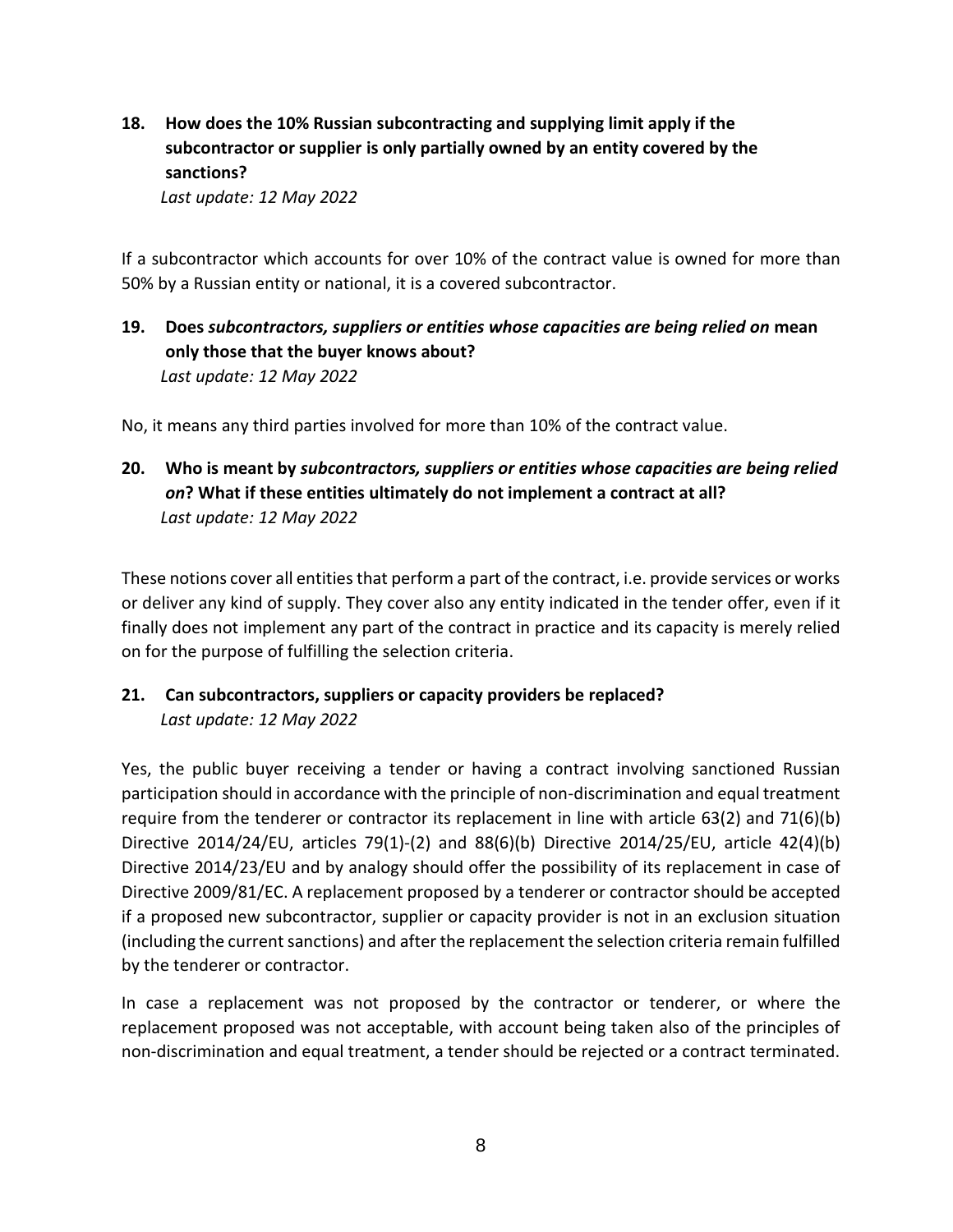**18. How does the 10% Russian subcontracting and supplying limit apply if the subcontractor or supplier is only partially owned by an entity covered by the sanctions?**

*Last update: 12 May 2022*

If a subcontractor which accounts for over 10% of the contract value is owned for more than 50% by a Russian entity or national, it is a covered subcontractor.

**19. Does** *subcontractors, suppliers or entities whose capacities are being relied on* **mean only those that the buyer knows about?** *Last update: 12 May 2022*

No, it means any third parties involved for more than 10% of the contract value.

**20. Who is meant by** *subcontractors, suppliers or entities whose capacities are being relied on***? What if these entities ultimately do not implement a contract at all?** *Last update: 12 May 2022*

These notions cover all entities that perform a part of the contract, i.e. provide services or works or deliver any kind of supply. They cover also any entity indicated in the tender offer, even if it finally does not implement any part of the contract in practice and its capacity is merely relied on for the purpose of fulfilling the selection criteria.

**21. Can subcontractors, suppliers or capacity providers be replaced?** *Last update: 12 May 2022*

Yes, the public buyer receiving a tender or having a contract involving sanctioned Russian participation should in accordance with the principle of non-discrimination and equal treatment require from the tenderer or contractor its replacement in line with article 63(2) and 71(6)(b) Directive 2014/24/EU, articles 79(1)-(2) and 88(6)(b) Directive 2014/25/EU, article 42(4)(b) Directive 2014/23/EU and by analogy should offer the possibility of its replacement in case of Directive 2009/81/EC. A replacement proposed by a tenderer or contractor should be accepted if a proposed new subcontractor, supplier or capacity provider is not in an exclusion situation (including the current sanctions) and after the replacement the selection criteria remain fulfilled by the tenderer or contractor.

In case a replacement was not proposed by the contractor or tenderer, or where the replacement proposed was not acceptable, with account being taken also of the principles of non-discrimination and equal treatment, a tender should be rejected or a contract terminated.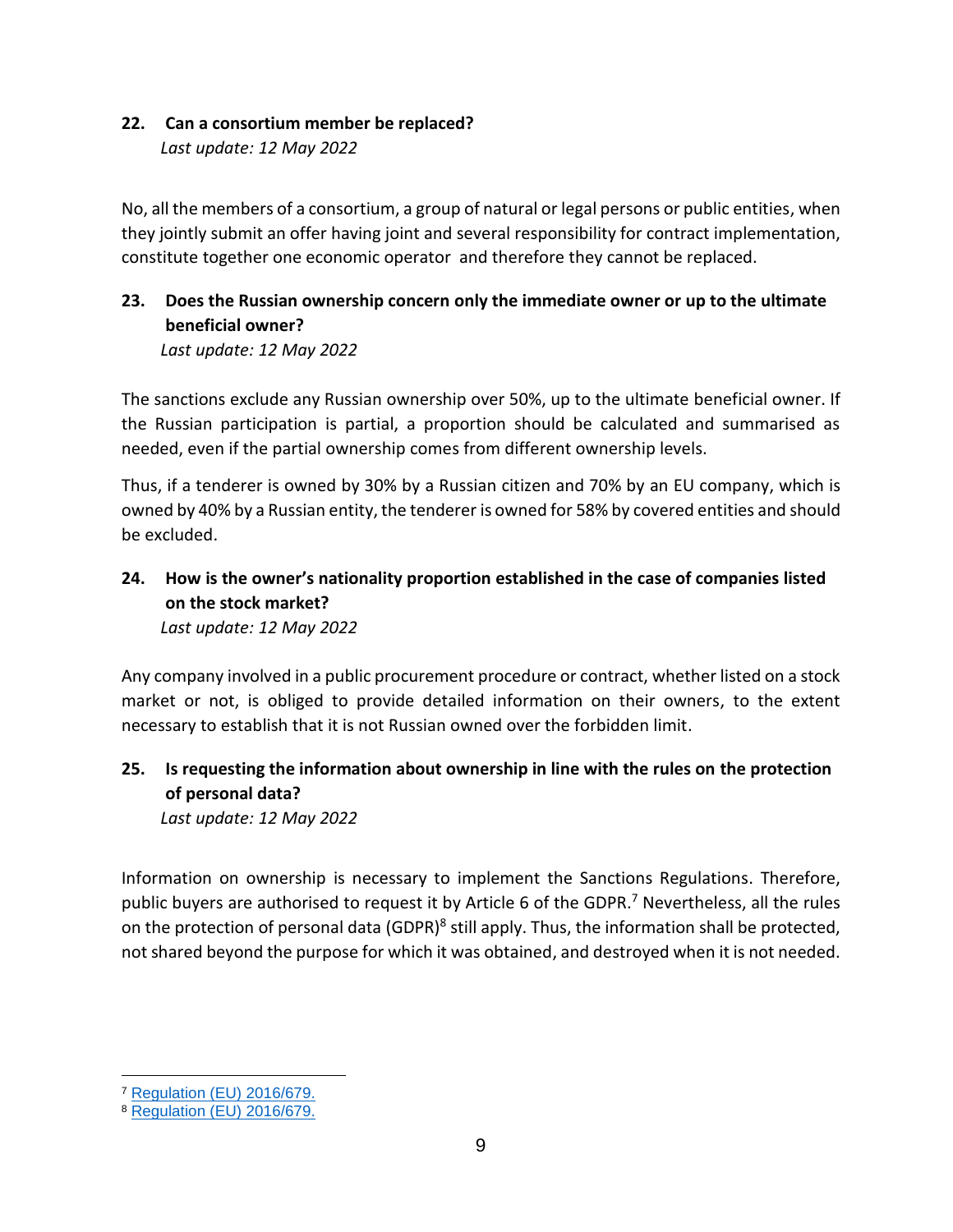### **22. Can a consortium member be replaced?**

*Last update: 12 May 2022*

No, all the members of a consortium, a group of natural or legal persons or public entities, when they jointly submit an offer having joint and several responsibility for contract implementation, constitute together one economic operator and therefore they cannot be replaced.

## **23. Does the Russian ownership concern only the immediate owner or up to the ultimate beneficial owner?**

*Last update: 12 May 2022*

The sanctions exclude any Russian ownership over 50%, up to the ultimate beneficial owner. If the Russian participation is partial, a proportion should be calculated and summarised as needed, even if the partial ownership comes from different ownership levels.

Thus, if a tenderer is owned by 30% by a Russian citizen and 70% by an EU company, which is owned by 40% by a Russian entity, the tenderer is owned for 58% by covered entities and should be excluded.

# **24. How is the owner's nationality proportion established in the case of companies listed on the stock market?**

*Last update: 12 May 2022*

Any company involved in a public procurement procedure or contract, whether listed on a stock market or not, is obliged to provide detailed information on their owners, to the extent necessary to establish that it is not Russian owned over the forbidden limit.

## **25. Is requesting the information about ownership in line with the rules on the protection of personal data?**

*Last update: 12 May 2022*

Information on ownership is necessary to implement the Sanctions Regulations. Therefore, public buyers are authorised to request it by Article 6 of the GDPR.<sup>7</sup> Nevertheless, all the rules on the protection of personal data (GDPR)<sup>8</sup> still apply. Thus, the information shall be protected, not shared beyond the purpose for which it was obtained, and destroyed when it is not needed.

 $\overline{a}$ <sup>7</sup> [Regulation \(EU\) 2016/679.](https://eur-lex.europa.eu/legal-content/EN/TXT/?uri=CELEX%3A02016R0679-20160504&qid=1532348683434)

<sup>8</sup> [Regulation \(EU\) 2016/679.](https://eur-lex.europa.eu/legal-content/EN/TXT/?uri=CELEX%3A02016R0679-20160504&qid=1532348683434)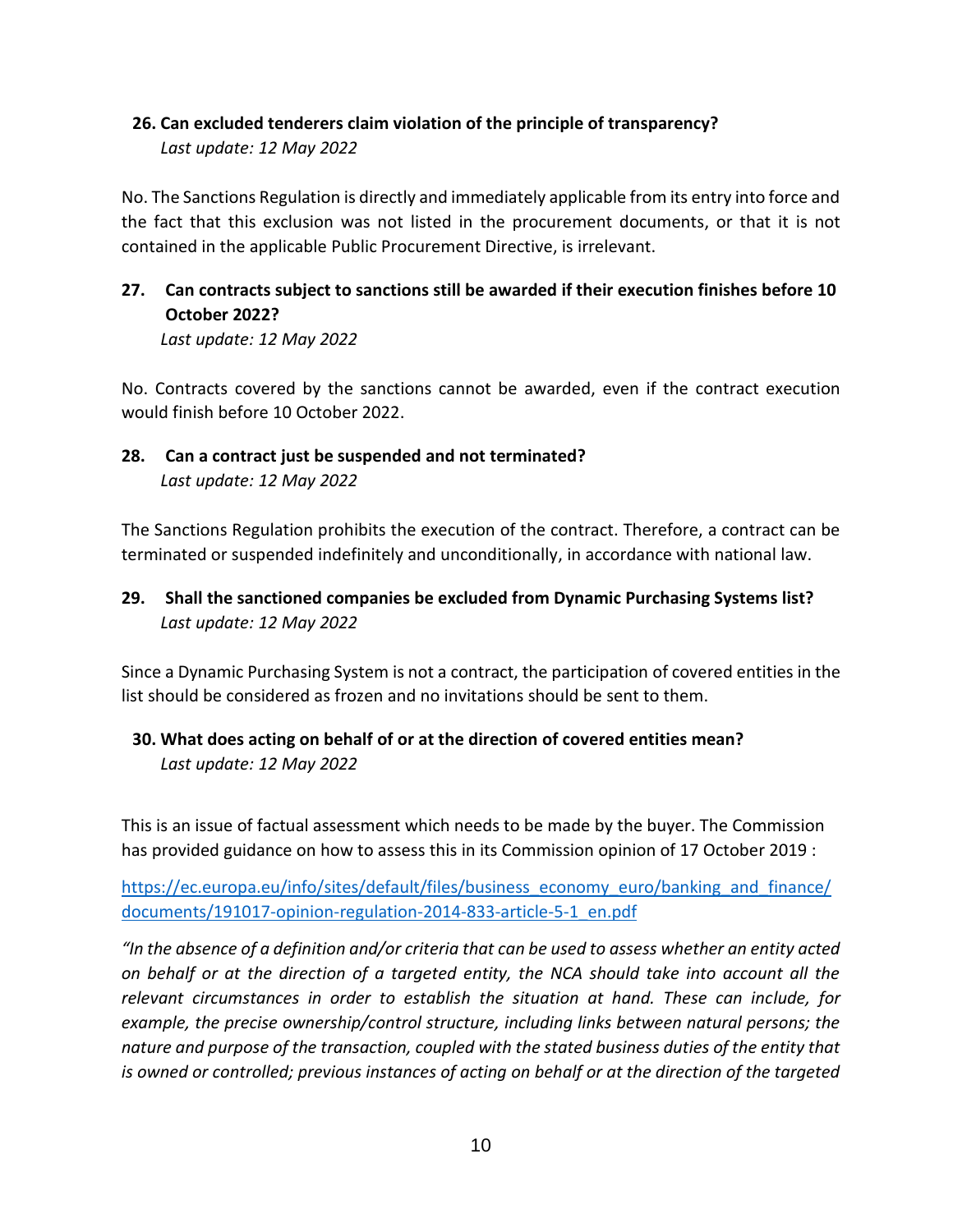#### **26. Can excluded tenderers claim violation of the principle of transparency?** *Last update: 12 May 2022*

No. The Sanctions Regulation is directly and immediately applicable from its entry into force and the fact that this exclusion was not listed in the procurement documents, or that it is not contained in the applicable Public Procurement Directive, is irrelevant.

## **27. Can contracts subject to sanctions still be awarded if their execution finishes before 10 October 2022?**

*Last update: 12 May 2022*

No. Contracts covered by the sanctions cannot be awarded, even if the contract execution would finish before 10 October 2022.

## **28. Can a contract just be suspended and not terminated?** *Last update: 12 May 2022*

The Sanctions Regulation prohibits the execution of the contract. Therefore, a contract can be terminated or suspended indefinitely and unconditionally, in accordance with national law.

### **29. Shall the sanctioned companies be excluded from Dynamic Purchasing Systems list?** *Last update: 12 May 2022*

Since a Dynamic Purchasing System is not a contract, the participation of covered entities in the list should be considered as frozen and no invitations should be sent to them.

## **30. What does acting on behalf of or at the direction of covered entities mean?** *Last update: 12 May 2022*

This is an issue of factual assessment which needs to be made by the buyer. The Commission has provided guidance on how to assess this in its Commission opinion of 17 October 2019 :

[https://ec.europa.eu/info/sites/default/files/business\\_economy\\_euro/banking\\_and\\_finance/](https://ec.europa.eu/info/sites/default/files/business_economy_euro/banking_and_finance/documents/191017-opinion-regulation-2014-833-article-5-1_en.pdf) [documents/191017-opinion-regulation-2014-833-article-5-1\\_en.pdf](https://ec.europa.eu/info/sites/default/files/business_economy_euro/banking_and_finance/documents/191017-opinion-regulation-2014-833-article-5-1_en.pdf)

*"In the absence of a definition and/or criteria that can be used to assess whether an entity acted on behalf or at the direction of a targeted entity, the NCA should take into account all the relevant circumstances in order to establish the situation at hand. These can include, for example, the precise ownership/control structure, including links between natural persons; the nature and purpose of the transaction, coupled with the stated business duties of the entity that is owned or controlled; previous instances of acting on behalf or at the direction of the targeted*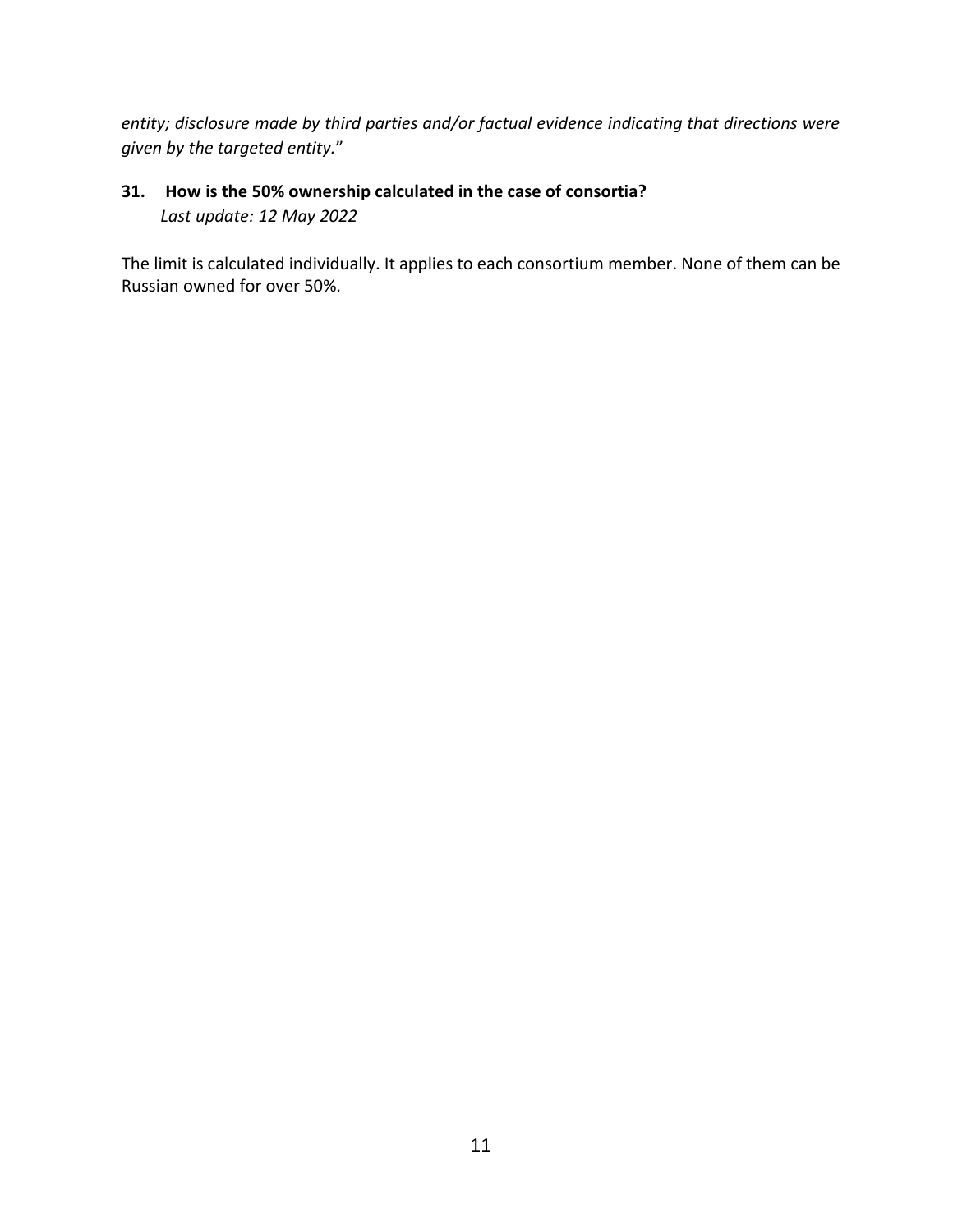*entity; disclosure made by third parties and/or factual evidence indicating that directions were given by the targeted entity.*"

## **31. How is the 50% ownership calculated in the case of consortia?** *Last update: 12 May 2022*

The limit is calculated individually. It applies to each consortium member. None of them can be Russian owned for over 50%.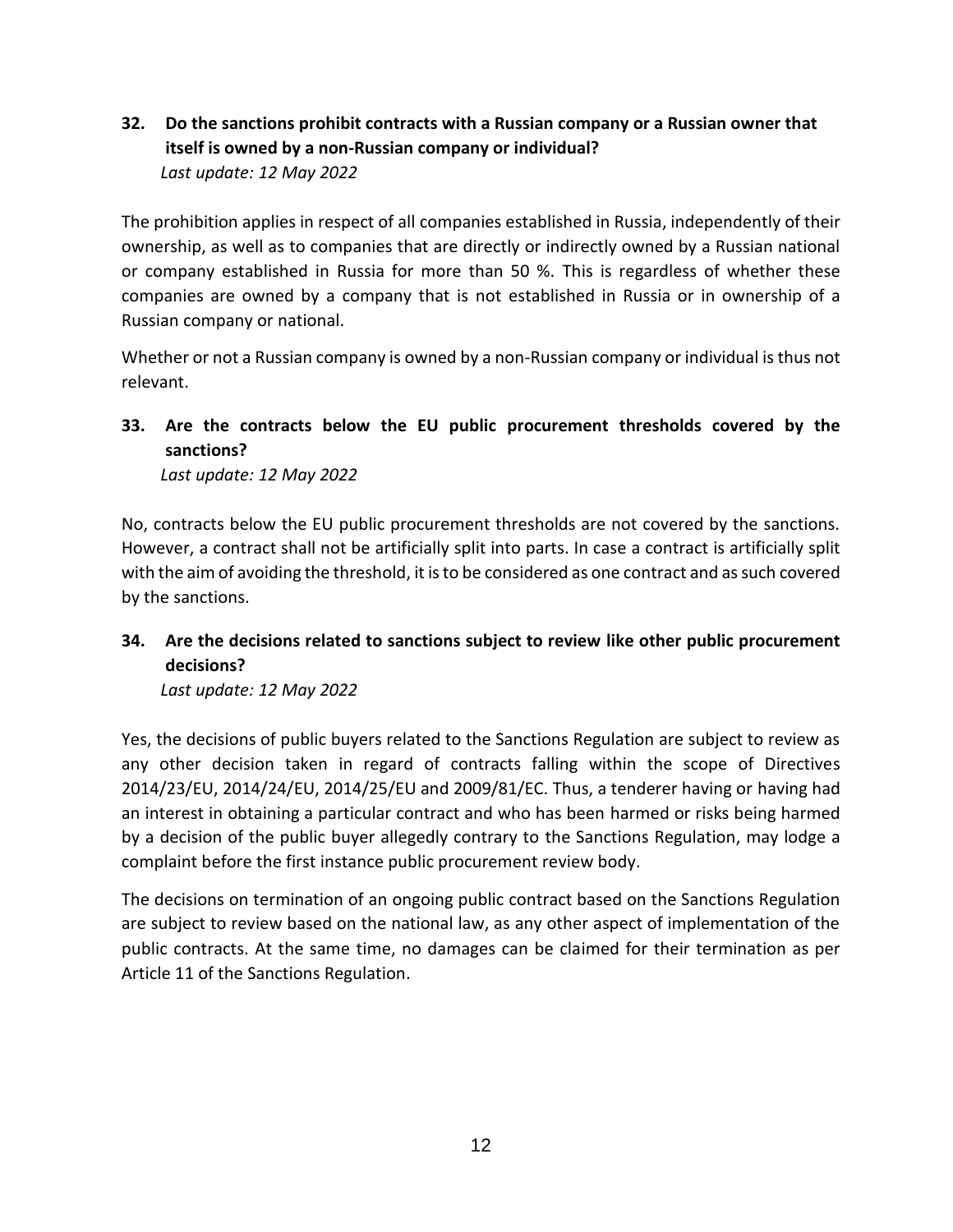## **32. Do the sanctions prohibit contracts with a Russian company or a Russian owner that itself is owned by a non-Russian company or individual?** *Last update: 12 May 2022*

The prohibition applies in respect of all companies established in Russia, independently of their ownership, as well as to companies that are directly or indirectly owned by a Russian national or company established in Russia for more than 50 %. This is regardless of whether these companies are owned by a company that is not established in Russia or in ownership of a Russian company or national.

Whether or not a Russian company is owned by a non-Russian company or individual is thus not relevant.

## **33. Are the contracts below the EU public procurement thresholds covered by the sanctions?**

*Last update: 12 May 2022*

No, contracts below the EU public procurement thresholds are not covered by the sanctions. However, a contract shall not be artificially split into parts. In case a contract is artificially split with the aim of avoiding the threshold, it is to be considered as one contract and as such covered by the sanctions.

## **34. Are the decisions related to sanctions subject to review like other public procurement decisions?**

*Last update: 12 May 2022*

Yes, the decisions of public buyers related to the Sanctions Regulation are subject to review as any other decision taken in regard of contracts falling within the scope of Directives 2014/23/EU, 2014/24/EU, 2014/25/EU and 2009/81/EC. Thus, a tenderer having or having had an interest in obtaining a particular contract and who has been harmed or risks being harmed by a decision of the public buyer allegedly contrary to the Sanctions Regulation, may lodge a complaint before the first instance public procurement review body.

The decisions on termination of an ongoing public contract based on the Sanctions Regulation are subject to review based on the national law, as any other aspect of implementation of the public contracts. At the same time, no damages can be claimed for their termination as per Article 11 of the Sanctions Regulation.